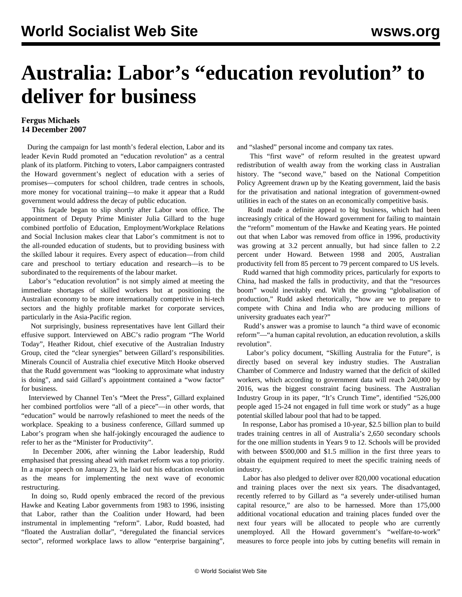## **Australia: Labor's "education revolution" to deliver for business**

## **Fergus Michaels 14 December 2007**

 During the campaign for last month's federal election, Labor and its leader Kevin Rudd promoted an "education revolution" as a central plank of its platform. Pitching to voters, Labor campaigners contrasted the Howard government's neglect of education with a series of promises—computers for school children, trade centres in schools, more money for vocational training—to make it appear that a Rudd government would address the decay of public education.

 This façade began to slip shortly after Labor won office. The appointment of Deputy Prime Minister Julia Gillard to the huge combined portfolio of Education, Employment/Workplace Relations and Social Inclusion makes clear that Labor's commitment is not to the all-rounded education of students, but to providing business with the skilled labour it requires. Every aspect of education—from child care and preschool to tertiary education and research—is to be subordinated to the requirements of the labour market.

 Labor's "education revolution" is not simply aimed at meeting the immediate shortages of skilled workers but at positioning the Australian economy to be more internationally competitive in hi-tech sectors and the highly profitable market for corporate services, particularly in the Asia-Pacific region.

 Not surprisingly, business representatives have lent Gillard their effusive support. Interviewed on ABC's radio program "The World Today", Heather Ridout, chief executive of the Australian Industry Group, cited the "clear synergies" between Gillard's responsibilities. Minerals Council of Australia chief executive Mitch Hooke observed that the Rudd government was "looking to approximate what industry is doing", and said Gillard's appointment contained a "wow factor" for business.

 Interviewed by Channel Ten's "Meet the Press", Gillard explained her combined portfolios were "all of a piece"—in other words, that "education" would be narrowly refashioned to meet the needs of the workplace. Speaking to a business conference, Gillard summed up Labor's program when she half-jokingly encouraged the audience to refer to her as the "Minister for Productivity".

 In December 2006, after winning the Labor leadership, Rudd emphasised that pressing ahead with market reform was a top priority. In a major speech on January 23, he laid out his education revolution as the means for implementing the next wave of economic restructuring.

 In doing so, Rudd openly embraced the record of the previous Hawke and Keating Labor governments from 1983 to 1996, insisting that Labor, rather than the Coalition under Howard, had been instrumental in implementing "reform". Labor, Rudd boasted, had "floated the Australian dollar", "deregulated the financial services sector", reformed workplace laws to allow "enterprise bargaining", and "slashed" personal income and company tax rates.

 This "first wave" of reform resulted in the greatest upward redistribution of wealth away from the working class in Australian history. The "second wave," based on the National Competition Policy Agreement drawn up by the Keating government, laid the basis for the privatisation and national integration of government-owned utilities in each of the states on an economically competitive basis.

 Rudd made a definite appeal to big business, which had been increasingly critical of the Howard government for failing to maintain the "reform" momentum of the Hawke and Keating years. He pointed out that when Labor was removed from office in 1996, productivity was growing at 3.2 percent annually, but had since fallen to 2.2 percent under Howard. Between 1998 and 2005, Australian productivity fell from 85 percent to 79 percent compared to US levels.

 Rudd warned that high commodity prices, particularly for exports to China, had masked the falls in productivity, and that the "resources boom" would inevitably end. With the growing "globalisation of production," Rudd asked rhetorically, "how are we to prepare to compete with China and India who are producing millions of university graduates each year?"

 Rudd's answer was a promise to launch "a third wave of economic reform"—"a human capital revolution, an education revolution, a skills revolution".

 Labor's policy document, "Skilling Australia for the Future", is directly based on several key industry studies. The Australian Chamber of Commerce and Industry warned that the deficit of skilled workers, which according to government data will reach 240,000 by 2016, was the biggest constraint facing business. The Australian Industry Group in its paper, "It's Crunch Time", identified "526,000 people aged 15-24 not engaged in full time work or study" as a huge potential skilled labour pool that had to be tapped.

 In response, Labor has promised a 10-year, \$2.5 billion plan to build trades training centres in all of Australia's 2,650 secondary schools for the one million students in Years 9 to 12. Schools will be provided with between \$500,000 and \$1.5 million in the first three years to obtain the equipment required to meet the specific training needs of industry.

 Labor has also pledged to deliver over 820,000 vocational education and training places over the next six years. The disadvantaged, recently referred to by Gillard as "a severely under-utilised human capital resource," are also to be harnessed. More than 175,000 additional vocational education and training places funded over the next four years will be allocated to people who are currently unemployed. All the Howard government's "welfare-to-work" measures to force people into jobs by cutting benefits will remain in